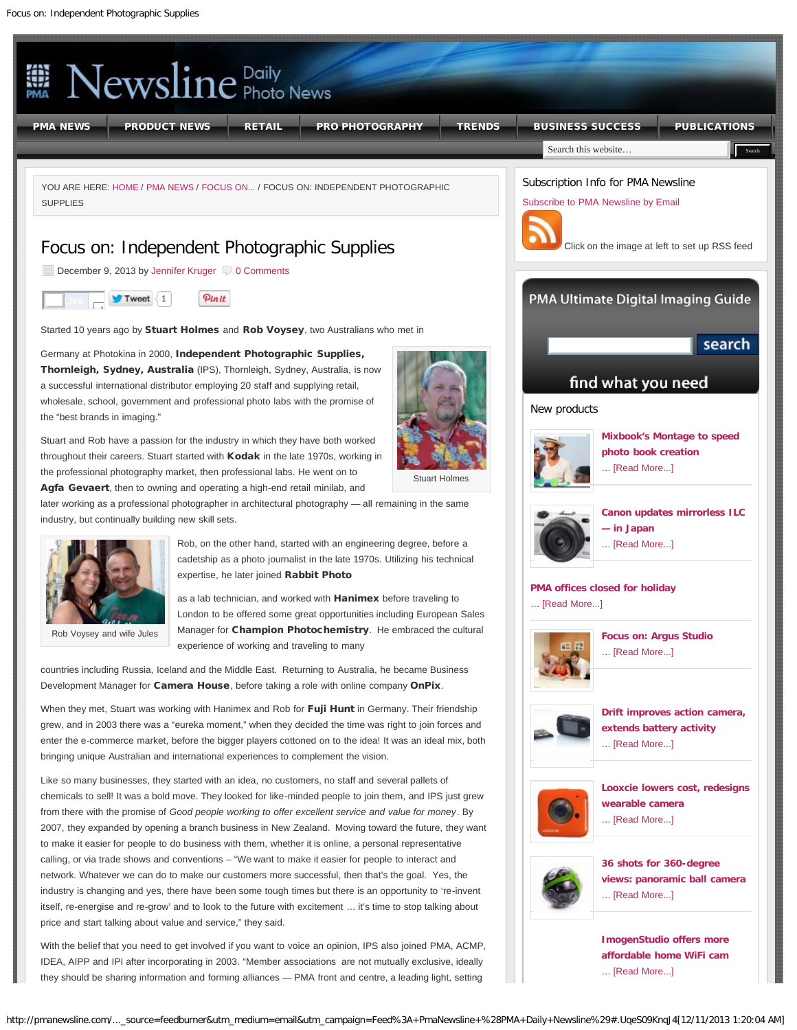<span id="page-0-0"></span>

With the belief that you need to get involved if you want to voice an opinion, IPS also joined PMA, ACMP, IDEA, AIPP and IPI after incorporating in 2003. "Member associations are not mutually exclusive, ideally they should be sharing information and forming alliances — PMA front and centre, a leading light, setting

**[affordable home WiFi cam](http://pmanewsline.com/2013/11/15/imogenstudio-offers-more-affordable-home-wifi-cam/)**

… [\[Read More...\]](http://pmanewsline.com/2013/11/15/imogenstudio-offers-more-affordable-home-wifi-cam/)